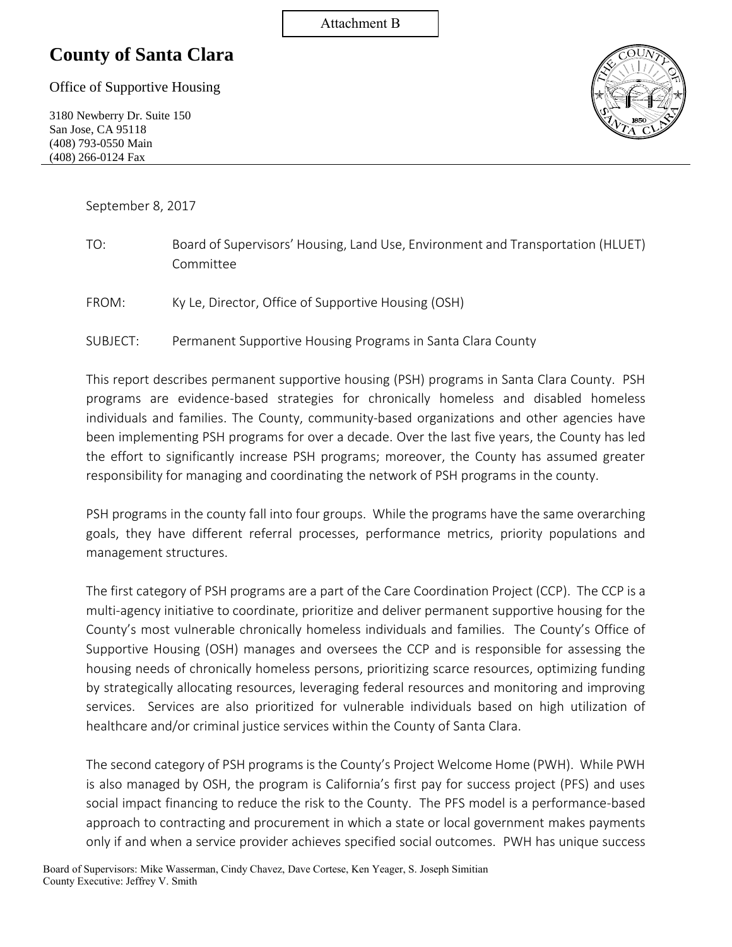#### Attachment B

## **County of Santa Clara**

Office of Supportive Housing

3180 Newberry Dr. Suite 150 San Jose, CA 95118 (408) 793-0550 Main (408) 266-0124 Fax



September 8, 2017

| TO: | Board of Supervisors' Housing, Land Use, Environment and Transportation (HLUET) |
|-----|---------------------------------------------------------------------------------|
|     | Committee                                                                       |

- FROM: Ky Le, Director, Office of Supportive Housing (OSH)
- SUBJECT: Permanent Supportive Housing Programs in Santa Clara County

This report describes permanent supportive housing (PSH) programs in Santa Clara County. PSH programs are evidence-based strategies for chronically homeless and disabled homeless individuals and families. The County, community-based organizations and other agencies have been implementing PSH programs for over a decade. Over the last five years, the County has led the effort to significantly increase PSH programs; moreover, the County has assumed greater responsibility for managing and coordinating the network of PSH programs in the county.

PSH programs in the county fall into four groups. While the programs have the same overarching goals, they have different referral processes, performance metrics, priority populations and management structures.

The first category of PSH programs are a part of the Care Coordination Project (CCP). The CCP is a multi-agency initiative to coordinate, prioritize and deliver permanent supportive housing for the County's most vulnerable chronically homeless individuals and families. The County's Office of Supportive Housing (OSH) manages and oversees the CCP and is responsible for assessing the housing needs of chronically homeless persons, prioritizing scarce resources, optimizing funding by strategically allocating resources, leveraging federal resources and monitoring and improving services. Services are also prioritized for vulnerable individuals based on high utilization of healthcare and/or criminal justice services within the County of Santa Clara.

The second category of PSH programs is the County's Project Welcome Home (PWH). While PWH is also managed by OSH, the program is California's first pay for success project (PFS) and uses social impact financing to reduce the risk to the County. The PFS model is a performance-based approach to contracting and procurement in which a state or local government makes payments only if and when a service provider achieves specified social outcomes. PWH has unique success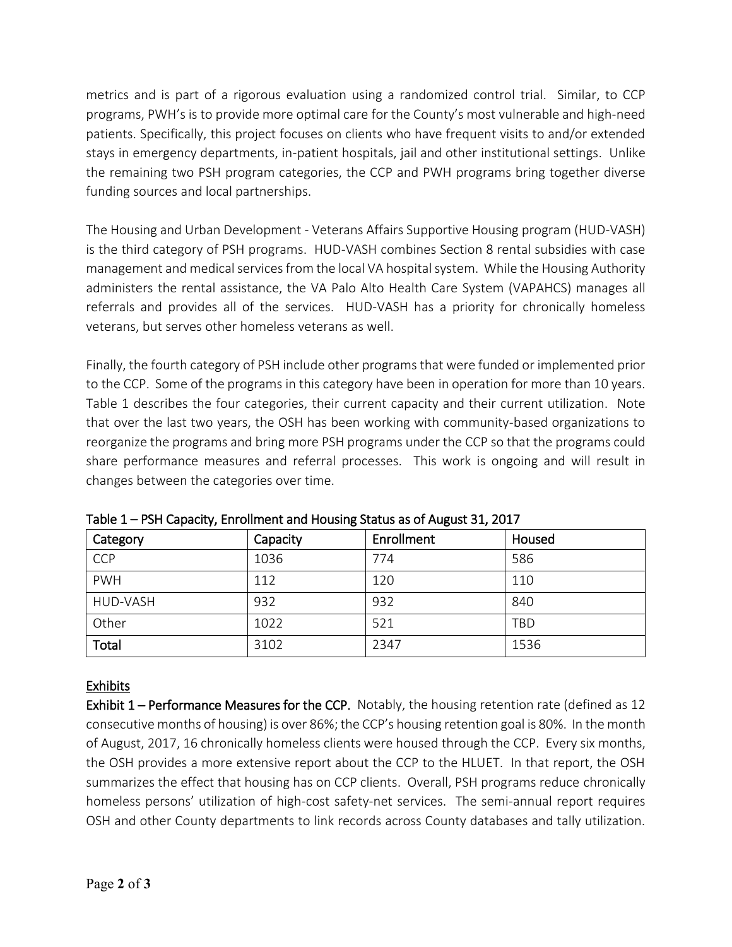metrics and is part of a rigorous evaluation using a randomized control trial. Similar, to CCP programs, PWH's is to provide more optimal care for the County's most vulnerable and high-need patients. Specifically, this project focuses on clients who have frequent visits to and/or extended stays in emergency departments, in-patient hospitals, jail and other institutional settings. Unlike the remaining two PSH program categories, the CCP and PWH programs bring together diverse funding sources and local partnerships.

The Housing and Urban Development - Veterans Affairs Supportive Housing program (HUD-VASH) is the third category of PSH programs. HUD-VASH combines Section 8 rental subsidies with case management and medical services from the local VA hospital system. While the Housing Authority administers the rental assistance, the VA Palo Alto Health Care System (VAPAHCS) manages all referrals and provides all of the services. HUD-VASH has a priority for chronically homeless veterans, but serves other homeless veterans as well.

Finally, the fourth category of PSH include other programs that were funded or implemented prior to the CCP. Some of the programs in this category have been in operation for more than 10 years. Table 1 describes the four categories, their current capacity and their current utilization. Note that over the last two years, the OSH has been working with community-based organizations to reorganize the programs and bring more PSH programs under the CCP so that the programs could share performance measures and referral processes. This work is ongoing and will result in changes between the categories over time.

| Category   | Capacity | Enrollment | Housed |
|------------|----------|------------|--------|
| CCP        | 1036     | 774        | 586    |
| <b>PWH</b> | 112      | 120        | 110    |
| HUD-VASH   | 932      | 932        | 840    |
| Other      | 1022     | 521        | TBD    |
| Total      | 3102     | 2347       | 1536   |

Table 1 – PSH Capacity, Enrollment and Housing Status as of August 31, 2017

### Exhibits

Exhibit 1 – Performance Measures for the CCP. Notably, the housing retention rate (defined as 12 consecutive months of housing) is over 86%; the CCP's housing retention goal is 80%. In the month of August, 2017, 16 chronically homeless clients were housed through the CCP. Every six months, the OSH provides a more extensive report about the CCP to the HLUET. In that report, the OSH summarizes the effect that housing has on CCP clients. Overall, PSH programs reduce chronically homeless persons' utilization of high-cost safety-net services. The semi-annual report requires OSH and other County departments to link records across County databases and tally utilization.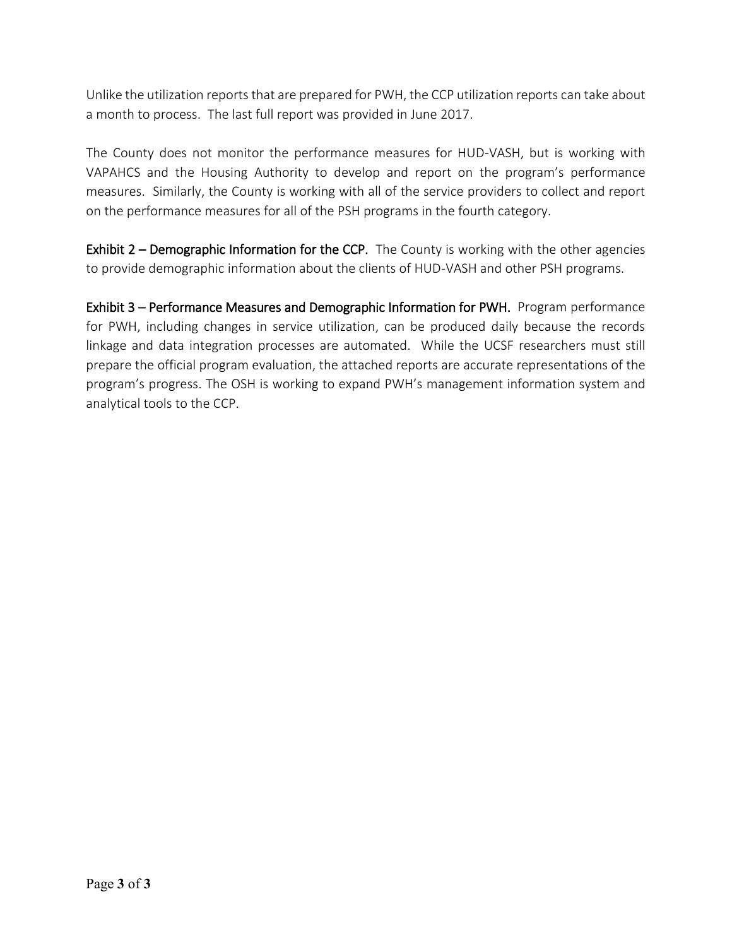Unlike the utilization reports that are prepared for PWH, the CCP utilization reports can take about a month to process. The last full report was provided in June 2017.

The County does not monitor the performance measures for HUD-VASH, but is working with VAPAHCS and the Housing Authority to develop and report on the program's performance measures. Similarly, the County is working with all of the service providers to collect and report on the performance measures for all of the PSH programs in the fourth category.

Exhibit 2 – Demographic Information for the CCP. The County is working with the other agencies to provide demographic information about the clients of HUD-VASH and other PSH programs.

Exhibit 3 – Performance Measures and Demographic Information for PWH. Program performance for PWH, including changes in service utilization, can be produced daily because the records linkage and data integration processes are automated. While the UCSF researchers must still prepare the official program evaluation, the attached reports are accurate representations of the program's progress. The OSH is working to expand PWH's management information system and analytical tools to the CCP.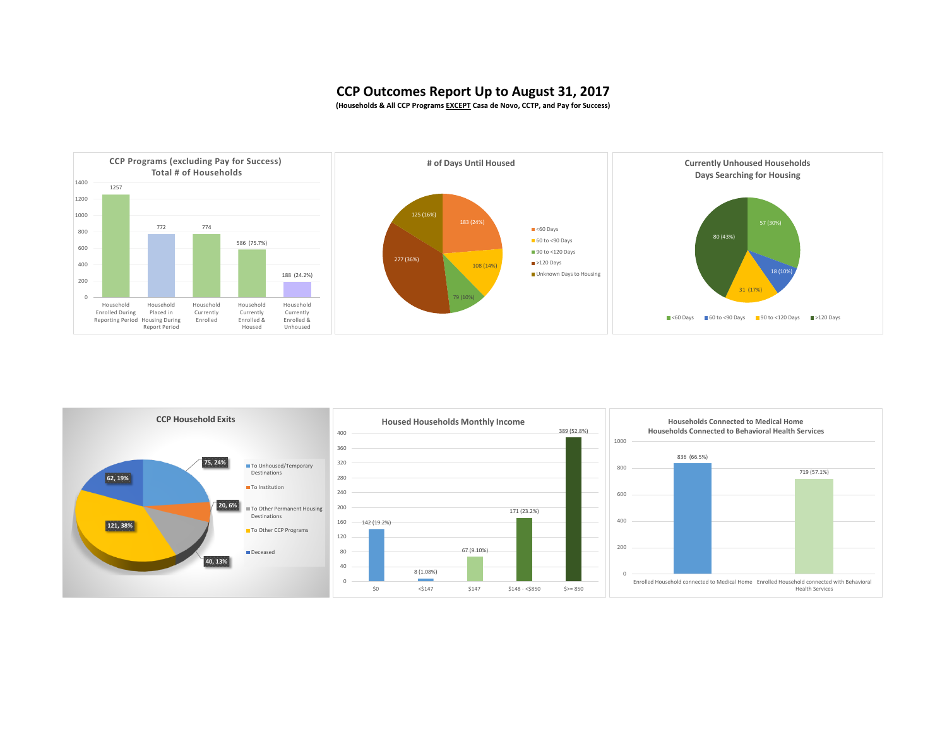#### **CCP Outcomes Report Up to August 31, 2017**

**(Households & All CCP Programs EXCEPT Casa de Novo, CCTP, and Pay for Success)**



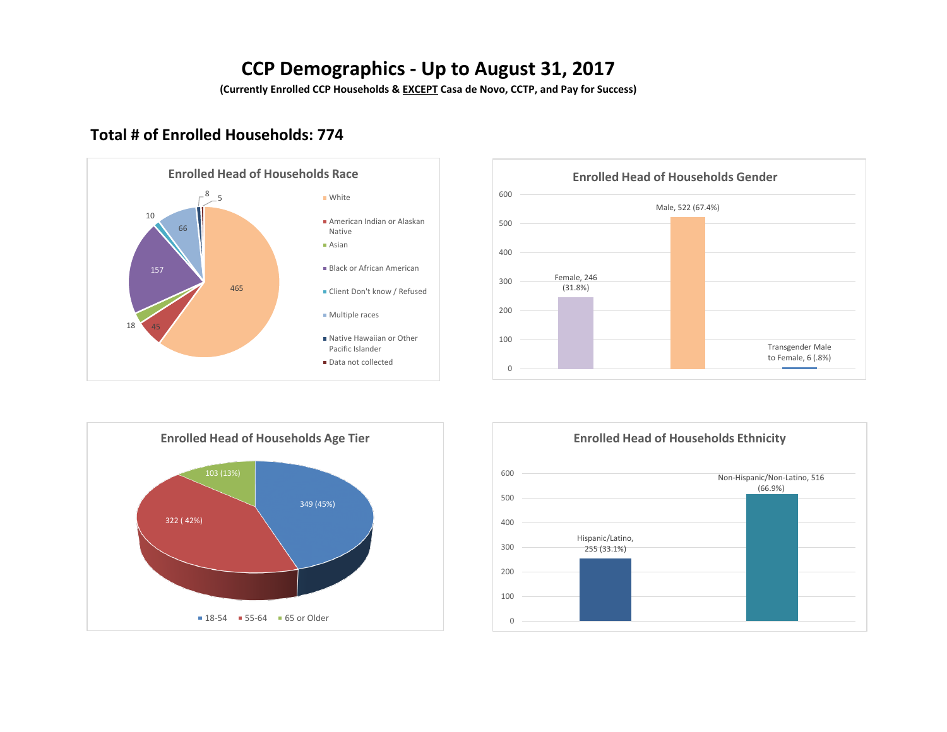## **CCP Demographics - Up to August 31, 2017**

**(Currently Enrolled CCP Households & EXCEPT Casa de Novo, CCTP, and Pay for Success)**

## **Total # of Enrolled Households: 774**



#### Female, 246 (31.8%) Male, 522 (67.4%) Transgender Male to Female, 6 (.8%)  $\Omega$ 100 200 300 400 500 600 **Enrolled Head of Households Gender**



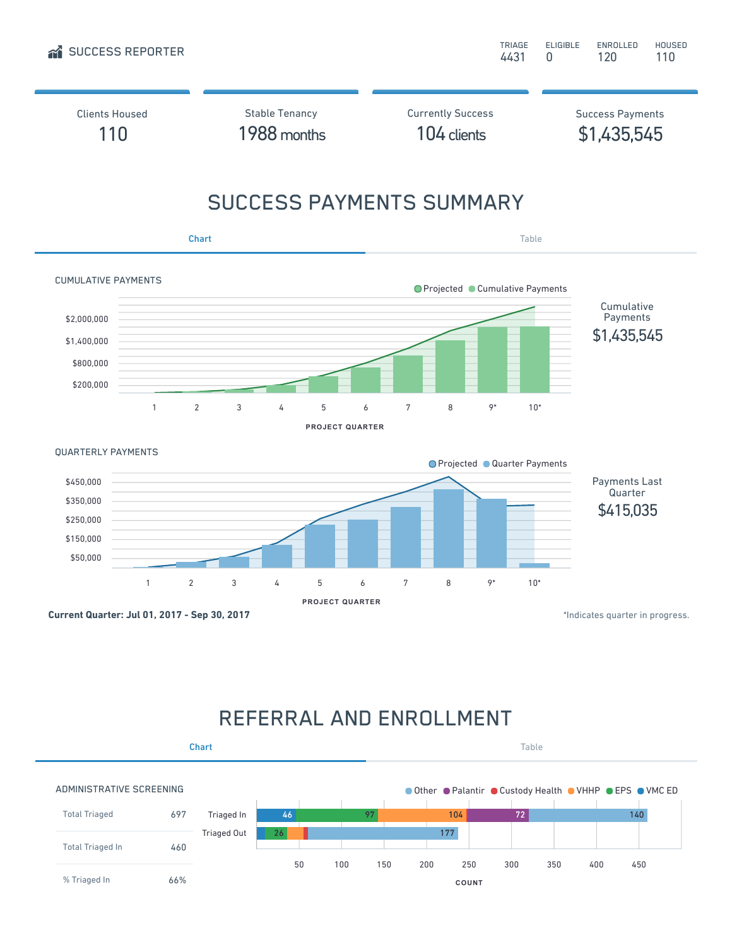

# REFERRAL AND ENROLLMENT

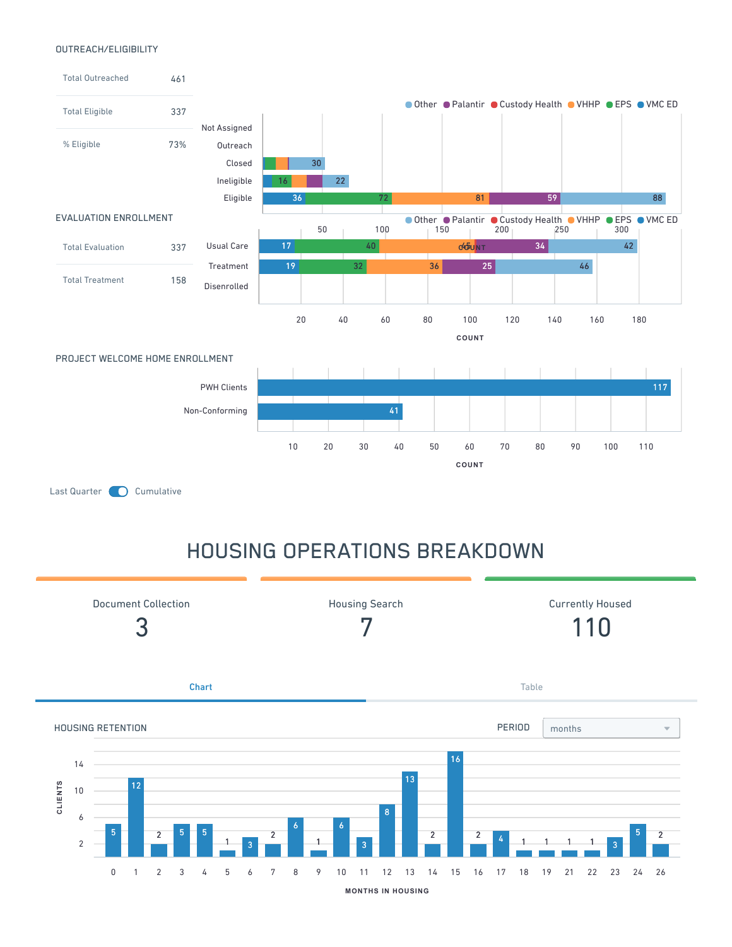#### OUTREACH/ELIGIBILITY



# HOUSING OPERATIONS BREAKDOWN

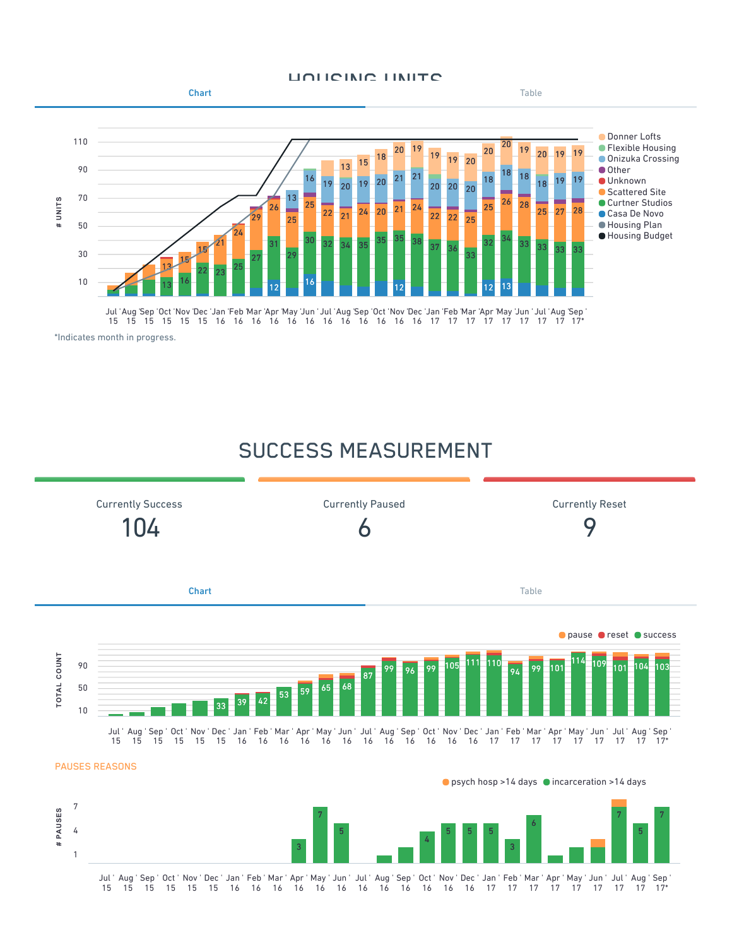#### HOUCING UNITS



## SUCCESS MEASUREMENT

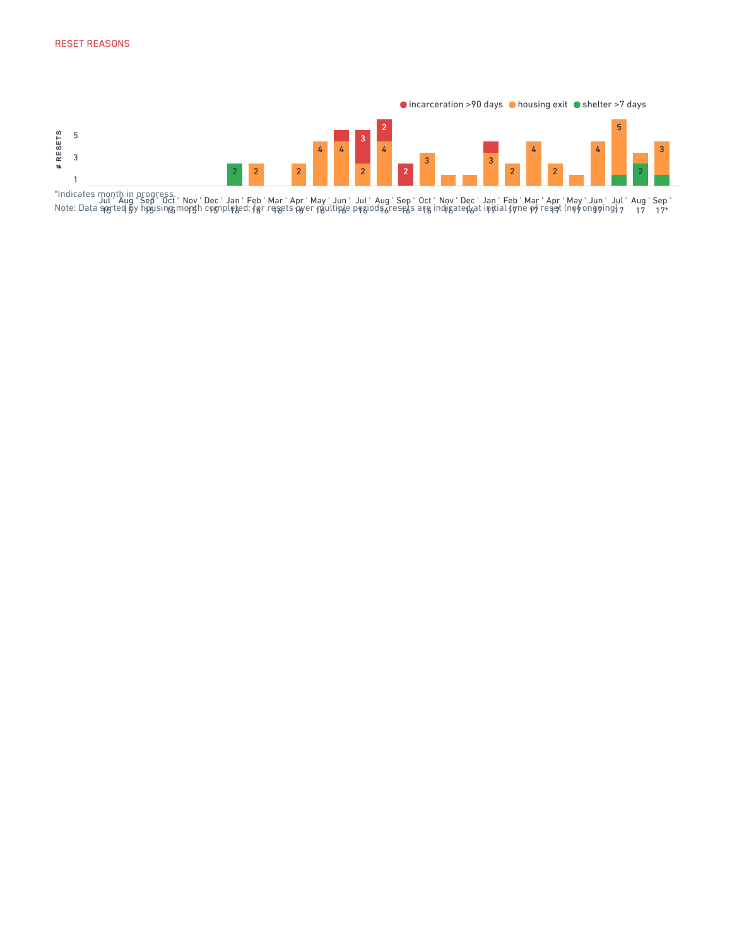

Jul ' 1951 Aug ' 19) Sep ' 1pyl Oct ' ነቌ r Nov ' yngr Dec ' ነቃክ Jan ' ဧၾ Feb ' 18r Mar ' १8e Apr '  $106$ May ' 1<sup>1</sup> Jun ' l**p**ye Jul ' ၉၂၀ Aug ' <u> </u>6r Sep ' .<br>195 Oct ' 16 Nov ' ආga Dec ' :p<sub>6</sub>a Jan ' 17 II Feb ' 17 Mar ' 17 Apr ' 99t May ' የን ( Jun ' g911 Jul ' 17 Aug ' 17 Sep ' 17\* \*Indicates month in progress. Note: Data sorted by housing month completed; for resets over multiple periods, resets are indicated at initial time of reset (not ongoing)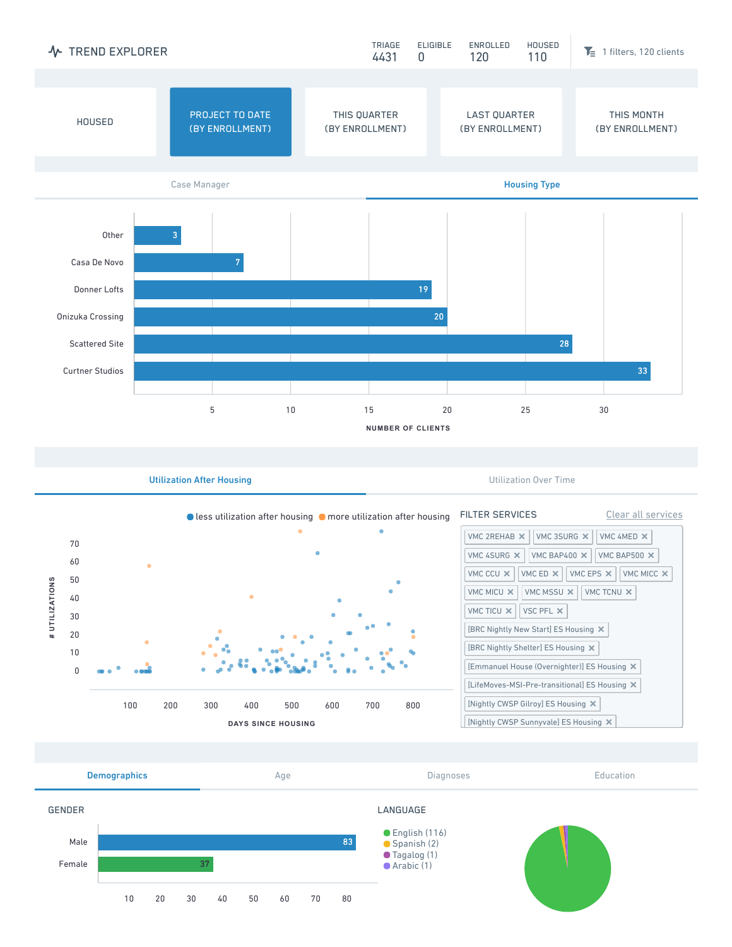

Utilization After Housing **Utilization After Housing Utilization Over Time**